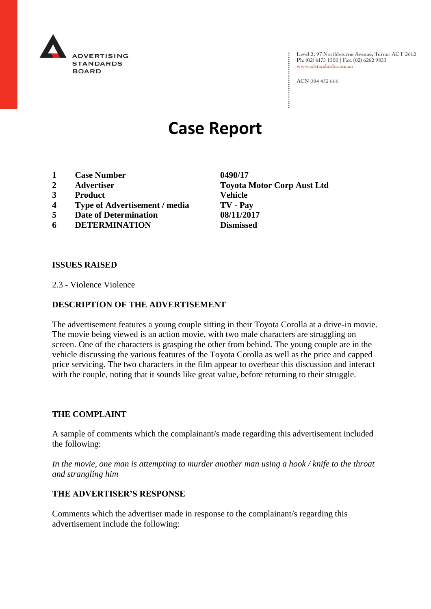

Level 2, 97 Northbourne Avenue, Turner ACT 2612<br>Ph: (02) 6173 1500 | Fax: (02) 6262 9833 www.adstandards.com.au

ACN 084 452 666

# **Case Report**

- **1 Case Number 0490/17**
- 
- **3 Product Vehicle**
- **4 Type of Advertisement / media TV - Pay**
- **5 Date of Determination 08/11/2017**
- **6 DETERMINATION Dismissed**

**2 Advertiser Toyota Motor Corp Aust Ltd**

#### **ISSUES RAISED**

2.3 - Violence Violence

## **DESCRIPTION OF THE ADVERTISEMENT**

The advertisement features a young couple sitting in their Toyota Corolla at a drive-in movie. The movie being viewed is an action movie, with two male characters are struggling on screen. One of the characters is grasping the other from behind. The young couple are in the vehicle discussing the various features of the Toyota Corolla as well as the price and capped price servicing. The two characters in the film appear to overhear this discussion and interact with the couple, noting that it sounds like great value, before returning to their struggle.

#### **THE COMPLAINT**

A sample of comments which the complainant/s made regarding this advertisement included the following:

*In the movie, one man is attempting to murder another man using a hook / knife to the throat and strangling him*

#### **THE ADVERTISER'S RESPONSE**

Comments which the advertiser made in response to the complainant/s regarding this advertisement include the following: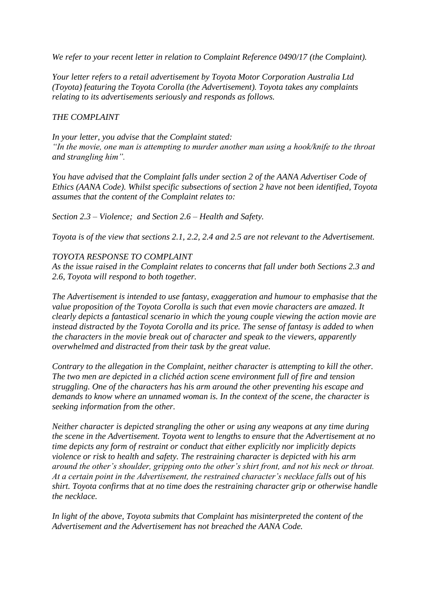*We refer to your recent letter in relation to Complaint Reference 0490/17 (the Complaint).*

*Your letter refers to a retail advertisement by Toyota Motor Corporation Australia Ltd (Toyota) featuring the Toyota Corolla (the Advertisement). Toyota takes any complaints relating to its advertisements seriously and responds as follows.*

# *THE COMPLAINT*

*In your letter, you advise that the Complaint stated: "In the movie, one man is attempting to murder another man using a hook/knife to the throat and strangling him".*

*You have advised that the Complaint falls under section 2 of the AANA Advertiser Code of Ethics (AANA Code). Whilst specific subsections of section 2 have not been identified, Toyota assumes that the content of the Complaint relates to:*

*Section 2.3 – Violence; and Section 2.6 – Health and Safety.*

*Toyota is of the view that sections 2.1, 2.2, 2.4 and 2.5 are not relevant to the Advertisement.*

## *TOYOTA RESPONSE TO COMPLAINT*

*As the issue raised in the Complaint relates to concerns that fall under both Sections 2.3 and 2.6, Toyota will respond to both together.*

*The Advertisement is intended to use fantasy, exaggeration and humour to emphasise that the value proposition of the Toyota Corolla is such that even movie characters are amazed. It clearly depicts a fantastical scenario in which the young couple viewing the action movie are instead distracted by the Toyota Corolla and its price. The sense of fantasy is added to when the characters in the movie break out of character and speak to the viewers, apparently overwhelmed and distracted from their task by the great value.*

*Contrary to the allegation in the Complaint, neither character is attempting to kill the other. The two men are depicted in a clichéd action scene environment full of fire and tension struggling. One of the characters has his arm around the other preventing his escape and demands to know where an unnamed woman is. In the context of the scene, the character is seeking information from the other.*

*Neither character is depicted strangling the other or using any weapons at any time during the scene in the Advertisement. Toyota went to lengths to ensure that the Advertisement at no time depicts any form of restraint or conduct that either explicitly nor implicitly depicts violence or risk to health and safety. The restraining character is depicted with his arm around the other's shoulder, gripping onto the other's shirt front, and not his neck or throat. At a certain point in the Advertisement, the restrained character's necklace falls out of his shirt. Toyota confirms that at no time does the restraining character grip or otherwise handle the necklace.*

*In light of the above, Toyota submits that Complaint has misinterpreted the content of the Advertisement and the Advertisement has not breached the AANA Code.*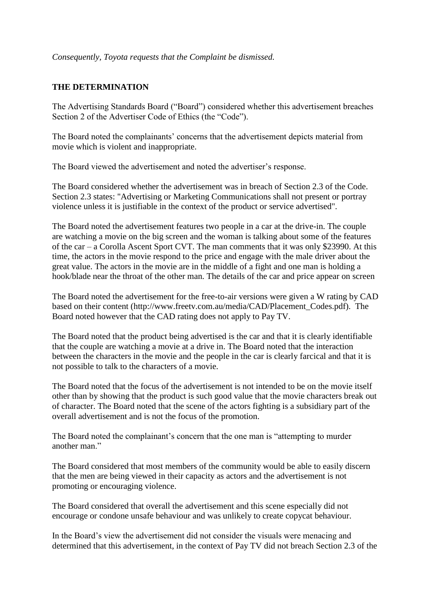## *Consequently, Toyota requests that the Complaint be dismissed.*

## **THE DETERMINATION**

The Advertising Standards Board ("Board") considered whether this advertisement breaches Section 2 of the Advertiser Code of Ethics (the "Code").

The Board noted the complainants' concerns that the advertisement depicts material from movie which is violent and inappropriate.

The Board viewed the advertisement and noted the advertiser's response.

The Board considered whether the advertisement was in breach of Section 2.3 of the Code. Section 2.3 states: "Advertising or Marketing Communications shall not present or portray violence unless it is justifiable in the context of the product or service advertised".

The Board noted the advertisement features two people in a car at the drive-in. The couple are watching a movie on the big screen and the woman is talking about some of the features of the car – a Corolla Ascent Sport CVT. The man comments that it was only \$23990. At this time, the actors in the movie respond to the price and engage with the male driver about the great value. The actors in the movie are in the middle of a fight and one man is holding a hook/blade near the throat of the other man. The details of the car and price appear on screen

The Board noted the advertisement for the free-to-air versions were given a W rating by CAD based on their content (http://www.freetv.com.au/media/CAD/Placement\_Codes.pdf). The Board noted however that the CAD rating does not apply to Pay TV.

The Board noted that the product being advertised is the car and that it is clearly identifiable that the couple are watching a movie at a drive in. The Board noted that the interaction between the characters in the movie and the people in the car is clearly farcical and that it is not possible to talk to the characters of a movie.

The Board noted that the focus of the advertisement is not intended to be on the movie itself other than by showing that the product is such good value that the movie characters break out of character. The Board noted that the scene of the actors fighting is a subsidiary part of the overall advertisement and is not the focus of the promotion.

The Board noted the complainant's concern that the one man is "attempting to murder another man."

The Board considered that most members of the community would be able to easily discern that the men are being viewed in their capacity as actors and the advertisement is not promoting or encouraging violence.

The Board considered that overall the advertisement and this scene especially did not encourage or condone unsafe behaviour and was unlikely to create copycat behaviour.

In the Board's view the advertisement did not consider the visuals were menacing and determined that this advertisement, in the context of Pay TV did not breach Section 2.3 of the